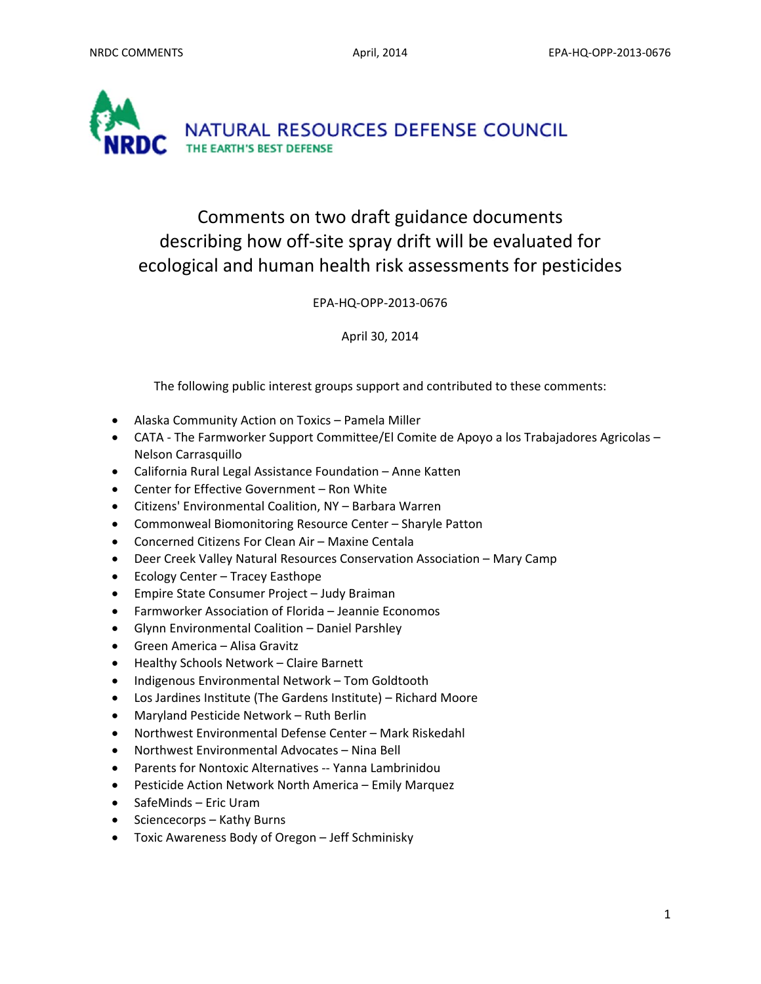

# Comments on two draft guidance documents describing how off‐site spray drift will be evaluated for ecological and human health risk assessments for pesticides

EPA‐HQ‐OPP‐2013‐0676

April 30, 2014

The following public interest groups support and contributed to these comments:

- Alaska Community Action on Toxics Pamela Miller
- CATA The Farmworker Support Committee/El Comite de Apoyo a los Trabajadores Agricolas Nelson Carrasquillo
- California Rural Legal Assistance Foundation Anne Katten
- Center for Effective Government Ron White
- Citizens' Environmental Coalition, NY Barbara Warren
- Commonweal Biomonitoring Resource Center Sharyle Patton
- Concerned Citizens For Clean Air Maxine Centala
- Deer Creek Valley Natural Resources Conservation Association Mary Camp
- Ecology Center Tracey Easthope
- Empire State Consumer Project Judy Braiman
- Farmworker Association of Florida Jeannie Economos
- Glynn Environmental Coalition Daniel Parshley
- Green America Alisa Gravitz
- Healthy Schools Network Claire Barnett
- Indigenous Environmental Network Tom Goldtooth
- Los Jardines Institute (The Gardens Institute) Richard Moore
- Maryland Pesticide Network Ruth Berlin
- Northwest Environmental Defense Center Mark Riskedahl
- Northwest Environmental Advocates Nina Bell
- Parents for Nontoxic Alternatives -- Yanna Lambrinidou
- Pesticide Action Network North America Emily Marquez
- SafeMinds Eric Uram
- Sciencecorps Kathy Burns
- Toxic Awareness Body of Oregon Jeff Schminisky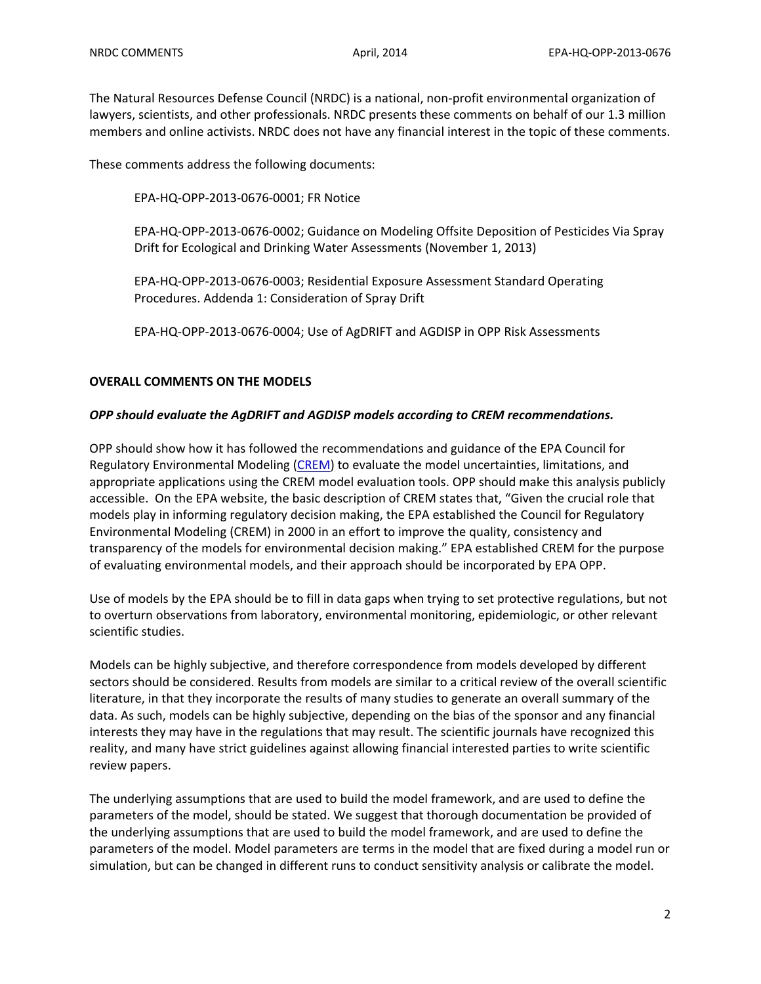The Natural Resources Defense Council (NRDC) is a national, non‐profit environmental organization of lawyers, scientists, and other professionals. NRDC presents these comments on behalf of our 1.3 million members and online activists. NRDC does not have any financial interest in the topic of these comments.

These comments address the following documents:

EPA‐HQ‐OPP‐2013‐0676‐0001; FR Notice

EPA‐HQ‐OPP‐2013‐0676‐0002; Guidance on Modeling Offsite Deposition of Pesticides Via Spray Drift for Ecological and Drinking Water Assessments (November 1, 2013)

EPA‐HQ‐OPP‐2013‐0676‐0003; Residential Exposure Assessment Standard Operating Procedures. Addenda 1: Consideration of Spray Drift

EPA‐HQ‐OPP‐2013‐0676‐0004; Use of AgDRIFT and AGDISP in OPP Risk Assessments

#### **OVERALL COMMENTS ON THE MODELS**

#### *OPP should evaluate the AgDRIFT and AGDISP models according to CREM recommendations.*

OPP should show how it has followed the recommendations and guidance of the EPA Council for Regulatory Environmental Modeling (CREM) to evaluate the model uncertainties, limitations, and appropriate applications using the CREM model evaluation tools. OPP should make this analysis publicly accessible. On the EPA website, the basic description of CREM states that, "Given the crucial role that models play in informing regulatory decision making, the EPA established the Council for Regulatory Environmental Modeling (CREM) in 2000 in an effort to improve the quality, consistency and transparency of the models for environmental decision making." EPA established CREM for the purpose of evaluating environmental models, and their approach should be incorporated by EPA OPP.

Use of models by the EPA should be to fill in data gaps when trying to set protective regulations, but not to overturn observations from laboratory, environmental monitoring, epidemiologic, or other relevant scientific studies.

Models can be highly subjective, and therefore correspondence from models developed by different sectors should be considered. Results from models are similar to a critical review of the overall scientific literature, in that they incorporate the results of many studies to generate an overall summary of the data. As such, models can be highly subjective, depending on the bias of the sponsor and any financial interests they may have in the regulations that may result. The scientific journals have recognized this reality, and many have strict guidelines against allowing financial interested parties to write scientific review papers.

The underlying assumptions that are used to build the model framework, and are used to define the parameters of the model, should be stated. We suggest that thorough documentation be provided of the underlying assumptions that are used to build the model framework, and are used to define the parameters of the model. Model parameters are terms in the model that are fixed during a model run or simulation, but can be changed in different runs to conduct sensitivity analysis or calibrate the model.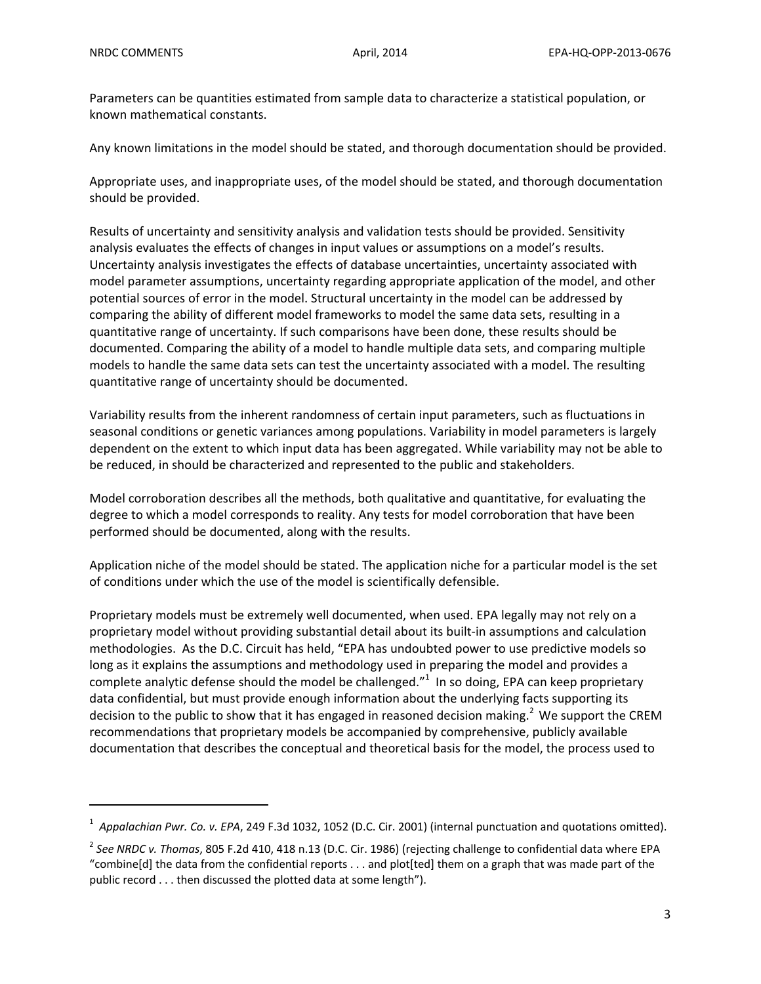Parameters can be quantities estimated from sample data to characterize a statistical population, or known mathematical constants.

Any known limitations in the model should be stated, and thorough documentation should be provided.

Appropriate uses, and inappropriate uses, of the model should be stated, and thorough documentation should be provided.

Results of uncertainty and sensitivity analysis and validation tests should be provided. Sensitivity analysis evaluates the effects of changes in input values or assumptions on a model's results. Uncertainty analysis investigates the effects of database uncertainties, uncertainty associated with model parameter assumptions, uncertainty regarding appropriate application of the model, and other potential sources of error in the model. Structural uncertainty in the model can be addressed by comparing the ability of different model frameworks to model the same data sets, resulting in a quantitative range of uncertainty. If such comparisons have been done, these results should be documented. Comparing the ability of a model to handle multiple data sets, and comparing multiple models to handle the same data sets can test the uncertainty associated with a model. The resulting quantitative range of uncertainty should be documented.

Variability results from the inherent randomness of certain input parameters, such as fluctuations in seasonal conditions or genetic variances among populations. Variability in model parameters is largely dependent on the extent to which input data has been aggregated. While variability may not be able to be reduced, in should be characterized and represented to the public and stakeholders.

Model corroboration describes all the methods, both qualitative and quantitative, for evaluating the degree to which a model corresponds to reality. Any tests for model corroboration that have been performed should be documented, along with the results.

Application niche of the model should be stated. The application niche for a particular model is the set of conditions under which the use of the model is scientifically defensible.

Proprietary models must be extremely well documented, when used. EPA legally may not rely on a proprietary model without providing substantial detail about its built‐in assumptions and calculation methodologies. As the D.C. Circuit has held, "EPA has undoubted power to use predictive models so long as it explains the assumptions and methodology used in preparing the model and provides a complete analytic defense should the model be challenged." $1$  In so doing, EPA can keep proprietary data confidential, but must provide enough information about the underlying facts supporting its decision to the public to show that it has engaged in reasoned decision making.<sup>2</sup> We support the CREM recommendations that proprietary models be accompanied by comprehensive, publicly available documentation that describes the conceptual and theoretical basis for the model, the process used to

<sup>1</sup> *Appalachian Pwr. Co. v. EPA*, 249 F.3d 1032, 1052 (D.C. Cir. 2001) (internal punctuation and quotations omitted).

<sup>2</sup> *See NRDC v. Thomas*, 805 F.2d 410, 418 n.13 (D.C. Cir. 1986) (rejecting challenge to confidential data where EPA "combine[d] the data from the confidential reports . . . and plot[ted] them on a graph that was made part of the public record . . . then discussed the plotted data at some length").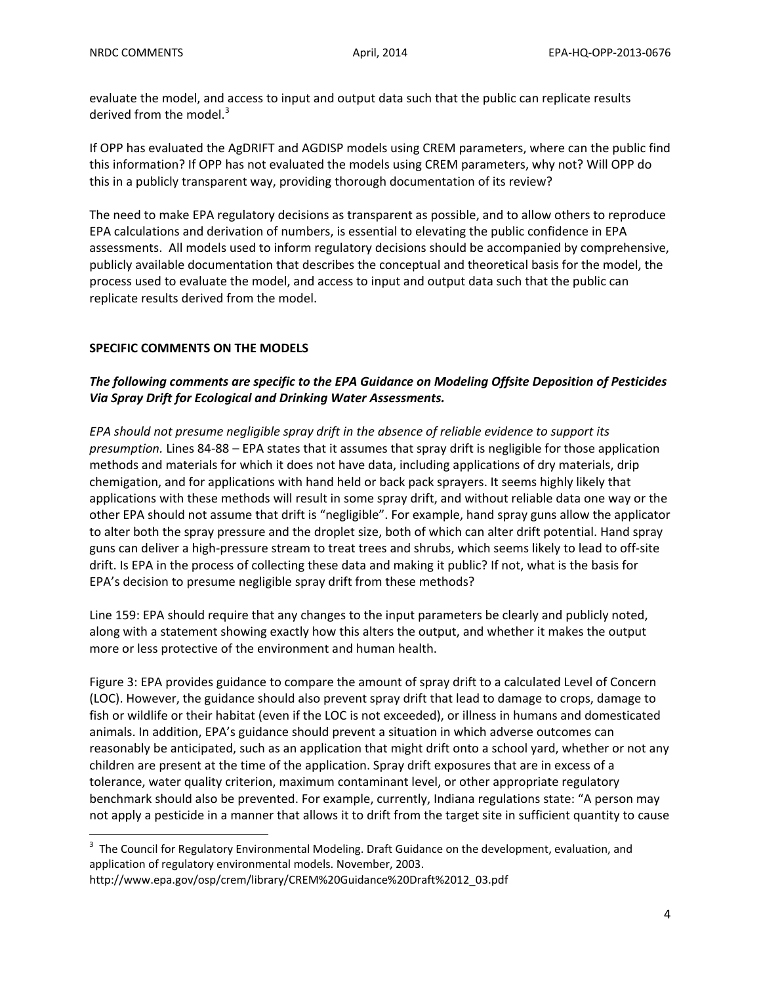evaluate the model, and access to input and output data such that the public can replicate results derived from the model. $3$ 

If OPP has evaluated the AgDRIFT and AGDISP models using CREM parameters, where can the public find this information? If OPP has not evaluated the models using CREM parameters, why not? Will OPP do this in a publicly transparent way, providing thorough documentation of its review?

The need to make EPA regulatory decisions as transparent as possible, and to allow others to reproduce EPA calculations and derivation of numbers, is essential to elevating the public confidence in EPA assessments. All models used to inform regulatory decisions should be accompanied by comprehensive, publicly available documentation that describes the conceptual and theoretical basis for the model, the process used to evaluate the model, and access to input and output data such that the public can replicate results derived from the model.

# **SPECIFIC COMMENTS ON THE MODELS**

# *The following comments are specific to the EPA Guidance on Modeling Offsite Deposition of Pesticides Via Spray Drift for Ecological and Drinking Water Assessments.*

*EPA should not presume negligible spray drift in the absence of reliable evidence to support its presumption.* Lines 84‐88 – EPA states that it assumes that spray drift is negligible for those application methods and materials for which it does not have data, including applications of dry materials, drip chemigation, and for applications with hand held or back pack sprayers. It seems highly likely that applications with these methods will result in some spray drift, and without reliable data one way or the other EPA should not assume that drift is "negligible". For example, hand spray guns allow the applicator to alter both the spray pressure and the droplet size, both of which can alter drift potential. Hand spray guns can deliver a high-pressure stream to treat trees and shrubs, which seems likely to lead to off-site drift. Is EPA in the process of collecting these data and making it public? If not, what is the basis for EPA's decision to presume negligible spray drift from these methods?

Line 159: EPA should require that any changes to the input parameters be clearly and publicly noted, along with a statement showing exactly how this alters the output, and whether it makes the output more or less protective of the environment and human health.

Figure 3: EPA provides guidance to compare the amount of spray drift to a calculated Level of Concern (LOC). However, the guidance should also prevent spray drift that lead to damage to crops, damage to fish or wildlife or their habitat (even if the LOC is not exceeded), or illness in humans and domesticated animals. In addition, EPA's guidance should prevent a situation in which adverse outcomes can reasonably be anticipated, such as an application that might drift onto a school yard, whether or not any children are present at the time of the application. Spray drift exposures that are in excess of a tolerance, water quality criterion, maximum contaminant level, or other appropriate regulatory benchmark should also be prevented. For example, currently, Indiana regulations state: "A person may not apply a pesticide in a manner that allows it to drift from the target site in sufficient quantity to cause

 3 The Council for Regulatory Environmental Modeling. Draft Guidance on the development, evaluation, and application of regulatory environmental models. November, 2003.

http://www.epa.gov/osp/crem/library/CREM%20Guidance%20Draft%2012\_03.pdf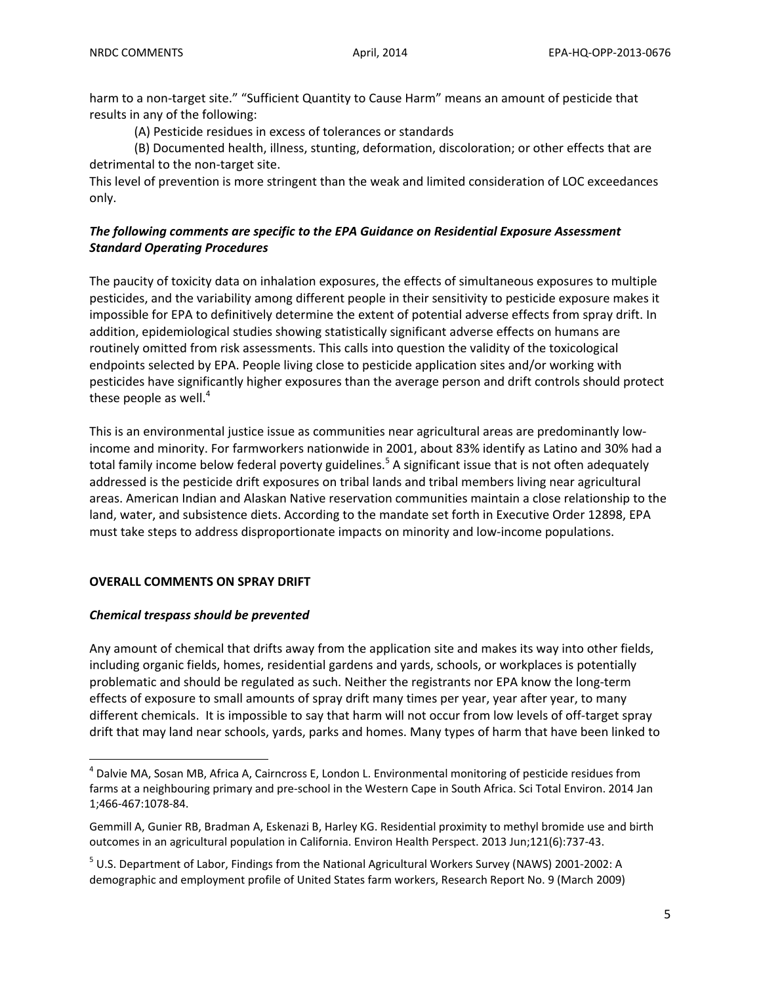harm to a non-target site." "Sufficient Quantity to Cause Harm" means an amount of pesticide that results in any of the following:

(A) Pesticide residues in excess of tolerances or standards

(B) Documented health, illness, stunting, deformation, discoloration; or other effects that are detrimental to the non-target site.

This level of prevention is more stringent than the weak and limited consideration of LOC exceedances only.

#### *The following comments are specific to the EPA Guidance on Residential Exposure Assessment Standard Operating Procedures*

The paucity of toxicity data on inhalation exposures, the effects of simultaneous exposures to multiple pesticides, and the variability among different people in their sensitivity to pesticide exposure makes it impossible for EPA to definitively determine the extent of potential adverse effects from spray drift. In addition, epidemiological studies showing statistically significant adverse effects on humans are routinely omitted from risk assessments. This calls into question the validity of the toxicological endpoints selected by EPA. People living close to pesticide application sites and/or working with pesticides have significantly higher exposures than the average person and drift controls should protect these people as well. $4$ 

This is an environmental justice issue as communities near agricultural areas are predominantly low‐ income and minority. For farmworkers nationwide in 2001, about 83% identify as Latino and 30% had a total family income below federal poverty guidelines.<sup>5</sup> A significant issue that is not often adequately addressed is the pesticide drift exposures on tribal lands and tribal members living near agricultural areas. American Indian and Alaskan Native reservation communities maintain a close relationship to the land, water, and subsistence diets. According to the mandate set forth in Executive Order 12898, EPA must take steps to address disproportionate impacts on minority and low-income populations.

#### **OVERALL COMMENTS ON SPRAY DRIFT**

#### *Chemical trespass should be prevented*

Any amount of chemical that drifts away from the application site and makes its way into other fields, including organic fields, homes, residential gardens and yards, schools, or workplaces is potentially problematic and should be regulated as such. Neither the registrants nor EPA know the long‐term effects of exposure to small amounts of spray drift many times per year, year after year, to many different chemicals. It is impossible to say that harm will not occur from low levels of off‐target spray drift that may land near schools, yards, parks and homes. Many types of harm that have been linked to

 $<sup>4</sup>$  Dalvie MA, Sosan MB, Africa A, Cairncross E, London L. Environmental monitoring of pesticide residues from</sup> farms at a neighbouring primary and pre-school in the Western Cape in South Africa. Sci Total Environ. 2014 Jan 1;466‐467:1078‐84.

Gemmill A, Gunier RB, Bradman A, Eskenazi B, Harley KG. Residential proximity to methyl bromide use and birth outcomes in an agricultural population in California. Environ Health Perspect. 2013 Jun;121(6):737‐43.

<sup>&</sup>lt;sup>5</sup> U.S. Department of Labor, Findings from the National Agricultural Workers Survey (NAWS) 2001-2002: A demographic and employment profile of United States farm workers, Research Report No. 9 (March 2009)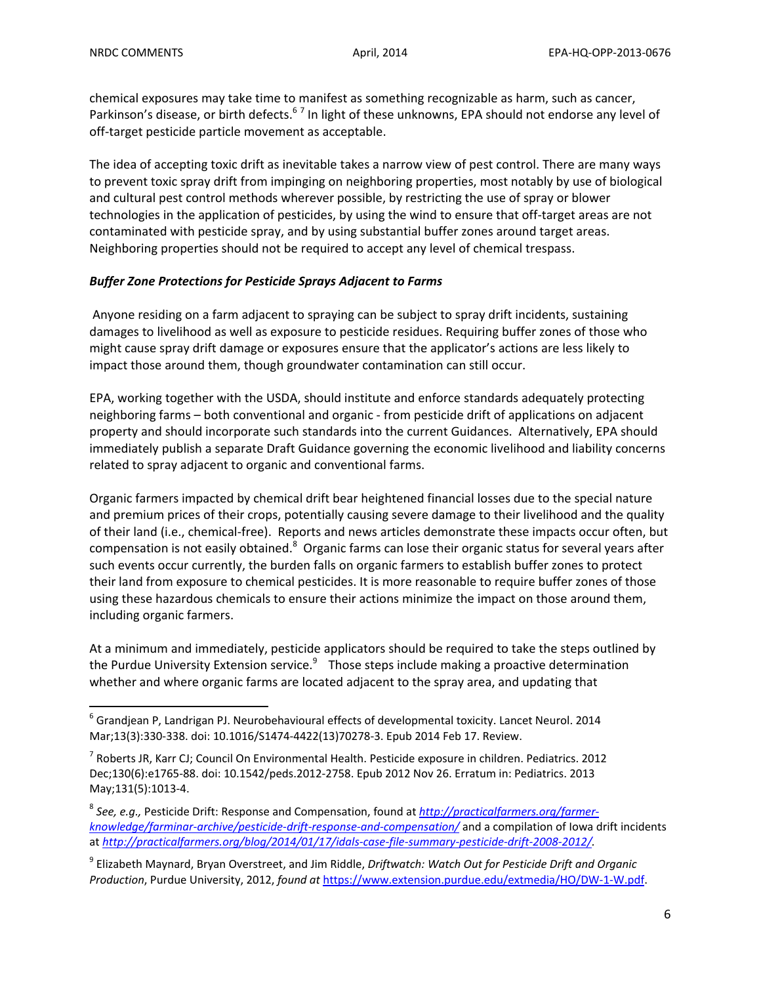chemical exposures may take time to manifest as something recognizable as harm, such as cancer, Parkinson's disease, or birth defects.<sup>67</sup> In light of these unknowns, EPA should not endorse any level of off-target pesticide particle movement as acceptable.

The idea of accepting toxic drift as inevitable takes a narrow view of pest control. There are many ways to prevent toxic spray drift from impinging on neighboring properties, most notably by use of biological and cultural pest control methods wherever possible, by restricting the use of spray or blower technologies in the application of pesticides, by using the wind to ensure that off‐target areas are not contaminated with pesticide spray, and by using substantial buffer zones around target areas. Neighboring properties should not be required to accept any level of chemical trespass.

#### *Buffer Zone Protections for Pesticide Sprays Adjacent to Farms*

Anyone residing on a farm adjacent to spraying can be subject to spray drift incidents, sustaining damages to livelihood as well as exposure to pesticide residues. Requiring buffer zones of those who might cause spray drift damage or exposures ensure that the applicator's actions are less likely to impact those around them, though groundwater contamination can still occur.

EPA, working together with the USDA, should institute and enforce standards adequately protecting neighboring farms – both conventional and organic ‐ from pesticide drift of applications on adjacent property and should incorporate such standards into the current Guidances. Alternatively, EPA should immediately publish a separate Draft Guidance governing the economic livelihood and liability concerns related to spray adjacent to organic and conventional farms.

Organic farmers impacted by chemical drift bear heightened financial losses due to the special nature and premium prices of their crops, potentially causing severe damage to their livelihood and the quality of their land (i.e., chemical‐free). Reports and news articles demonstrate these impacts occur often, but compensation is not easily obtained.<sup>8</sup> Organic farms can lose their organic status for several years after such events occur currently, the burden falls on organic farmers to establish buffer zones to protect their land from exposure to chemical pesticides. It is more reasonable to require buffer zones of those using these hazardous chemicals to ensure their actions minimize the impact on those around them, including organic farmers.

At a minimum and immediately, pesticide applicators should be required to take the steps outlined by the Purdue University Extension service. $9$  Those steps include making a proactive determination whether and where organic farms are located adjacent to the spray area, and updating that

 $^6$  Grandjean P, Landrigan PJ. Neurobehavioural effects of developmental toxicity. Lancet Neurol. 2014 Mar;13(3):330‐338. doi: 10.1016/S1474‐4422(13)70278‐3. Epub 2014 Feb 17. Review.

<sup>7</sup> Roberts JR, Karr CJ; Council On Environmental Health. Pesticide exposure in children. Pediatrics. 2012 Dec;130(6):e1765‐88. doi: 10.1542/peds.2012‐2758. Epub 2012 Nov 26. Erratum in: Pediatrics. 2013 May;131(5):1013‐4.

<sup>8</sup> *See, e.g.,* Pesticide Drift: Response and Compensation, found at *http://practicalfarmers.org/farmer‐ knowledge/farminar‐archive/pesticide‐drift‐response‐and‐compensation/* and a compilation of Iowa drift incidents at *http://practicalfarmers.org/blog/2014/01/17/idals‐case‐file‐summary‐pesticide‐drift‐2008‐2012/.*

<sup>9</sup> Elizabeth Maynard, Bryan Overstreet, and Jim Riddle, *Driftwatch: Watch Out for Pesticide Drift and Organic Production*, Purdue University, 2012, *found at* https://www.extension.purdue.edu/extmedia/HO/DW‐1‐W.pdf.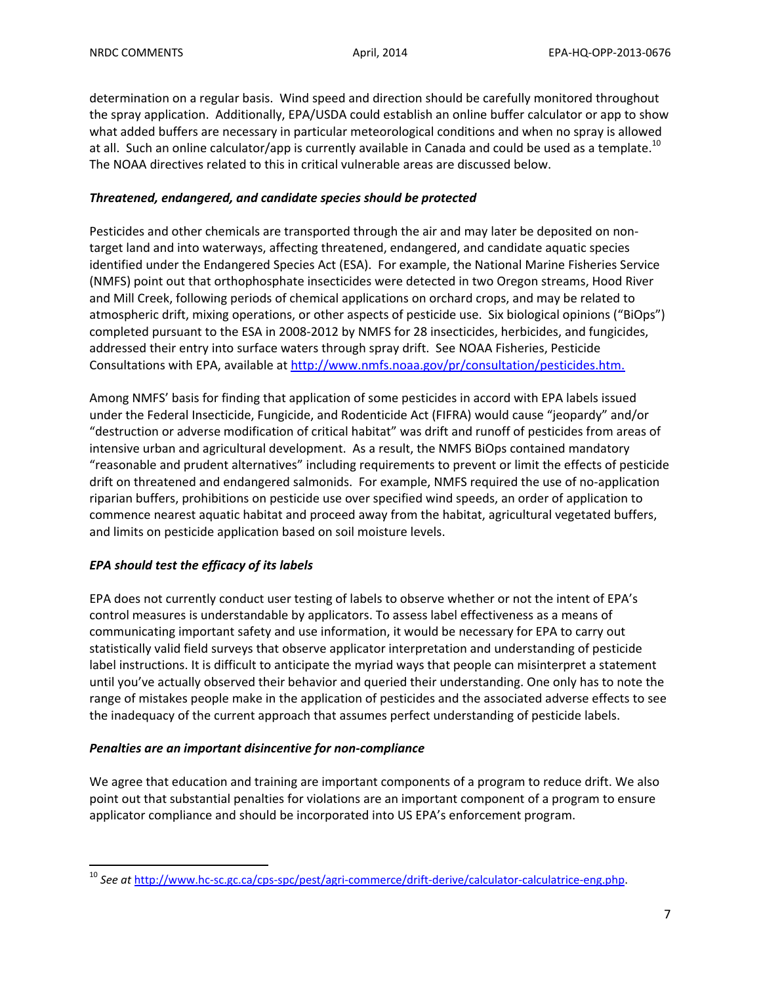determination on a regular basis. Wind speed and direction should be carefully monitored throughout the spray application. Additionally, EPA/USDA could establish an online buffer calculator or app to show what added buffers are necessary in particular meteorological conditions and when no spray is allowed at all. Such an online calculator/app is currently available in Canada and could be used as a template.<sup>10</sup> The NOAA directives related to this in critical vulnerable areas are discussed below.

#### *Threatened, endangered, and candidate species should be protected*

Pesticides and other chemicals are transported through the air and may later be deposited on non‐ target land and into waterways, affecting threatened, endangered, and candidate aquatic species identified under the Endangered Species Act (ESA). For example, the National Marine Fisheries Service (NMFS) point out that orthophosphate insecticides were detected in two Oregon streams, Hood River and Mill Creek, following periods of chemical applications on orchard crops, and may be related to atmospheric drift, mixing operations, or other aspects of pesticide use. Six biological opinions ("BiOps") completed pursuant to the ESA in 2008‐2012 by NMFS for 28 insecticides, herbicides, and fungicides, addressed their entry into surface waters through spray drift. See NOAA Fisheries, Pesticide Consultations with EPA, available at http://www.nmfs.noaa.gov/pr/consultation/pesticides.htm.

Among NMFS' basis for finding that application of some pesticides in accord with EPA labels issued under the Federal Insecticide, Fungicide, and Rodenticide Act (FIFRA) would cause "jeopardy" and/or "destruction or adverse modification of critical habitat" was drift and runoff of pesticides from areas of intensive urban and agricultural development. As a result, the NMFS BiOps contained mandatory "reasonable and prudent alternatives" including requirements to prevent or limit the effects of pesticide drift on threatened and endangered salmonids. For example, NMFS required the use of no‐application riparian buffers, prohibitions on pesticide use over specified wind speeds, an order of application to commence nearest aquatic habitat and proceed away from the habitat, agricultural vegetated buffers, and limits on pesticide application based on soil moisture levels.

# *EPA should test the efficacy of its labels*

EPA does not currently conduct user testing of labels to observe whether or not the intent of EPA's control measures is understandable by applicators. To assess label effectiveness as a means of communicating important safety and use information, it would be necessary for EPA to carry out statistically valid field surveys that observe applicator interpretation and understanding of pesticide label instructions. It is difficult to anticipate the myriad ways that people can misinterpret a statement until you've actually observed their behavior and queried their understanding. One only has to note the range of mistakes people make in the application of pesticides and the associated adverse effects to see the inadequacy of the current approach that assumes perfect understanding of pesticide labels.

#### *Penalties are an important disincentive for non‐compliance*

We agree that education and training are important components of a program to reduce drift. We also point out that substantial penalties for violations are an important component of a program to ensure applicator compliance and should be incorporated into US EPA's enforcement program.

 <sup>10</sup> See at http://www.hc-sc<u>.gc.ca/cps-spc/pest/agri-commerce/drift-derive/calculator-calculatrice-eng.php</u>.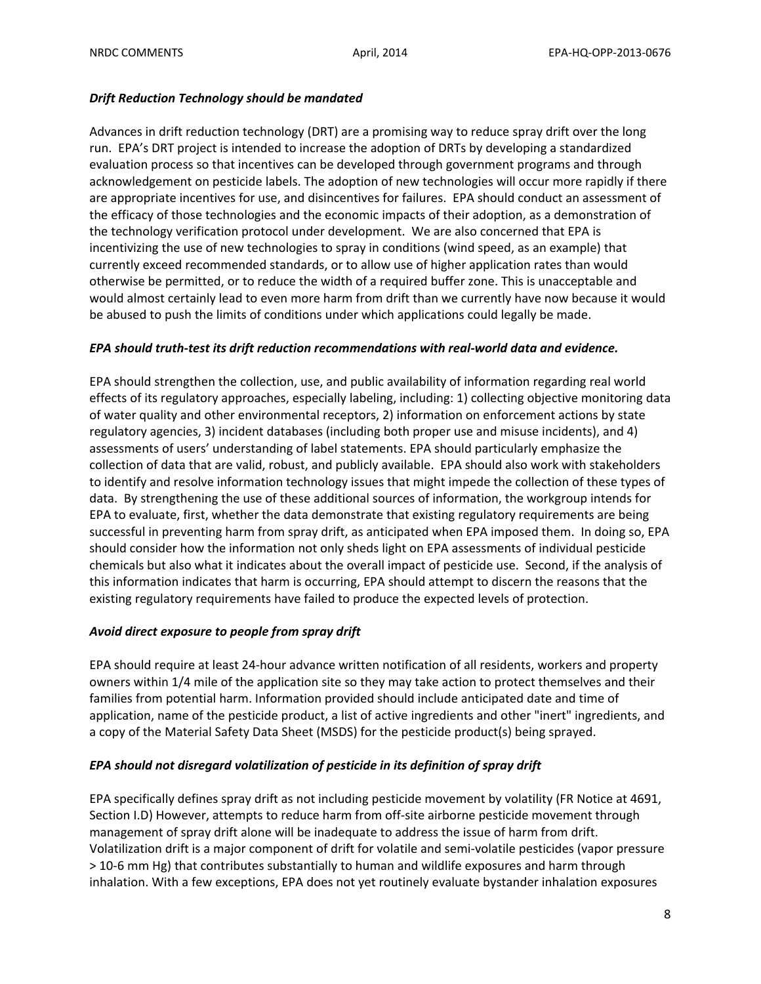#### *Drift Reduction Technology should be mandated*

Advances in drift reduction technology (DRT) are a promising way to reduce spray drift over the long run. EPA's DRT project is intended to increase the adoption of DRTs by developing a standardized evaluation process so that incentives can be developed through government programs and through acknowledgement on pesticide labels. The adoption of new technologies will occur more rapidly if there are appropriate incentives for use, and disincentives for failures. EPA should conduct an assessment of the efficacy of those technologies and the economic impacts of their adoption, as a demonstration of the technology verification protocol under development. We are also concerned that EPA is incentivizing the use of new technologies to spray in conditions (wind speed, as an example) that currently exceed recommended standards, or to allow use of higher application rates than would otherwise be permitted, or to reduce the width of a required buffer zone. This is unacceptable and would almost certainly lead to even more harm from drift than we currently have now because it would be abused to push the limits of conditions under which applications could legally be made.

### *EPA should truth‐test its drift reduction recommendations with real‐world data and evidence.*

EPA should strengthen the collection, use, and public availability of information regarding real world effects of its regulatory approaches, especially labeling, including: 1) collecting objective monitoring data of water quality and other environmental receptors, 2) information on enforcement actions by state regulatory agencies, 3) incident databases (including both proper use and misuse incidents), and 4) assessments of users' understanding of label statements. EPA should particularly emphasize the collection of data that are valid, robust, and publicly available. EPA should also work with stakeholders to identify and resolve information technology issues that might impede the collection of these types of data. By strengthening the use of these additional sources of information, the workgroup intends for EPA to evaluate, first, whether the data demonstrate that existing regulatory requirements are being successful in preventing harm from spray drift, as anticipated when EPA imposed them. In doing so, EPA should consider how the information not only sheds light on EPA assessments of individual pesticide chemicals but also what it indicates about the overall impact of pesticide use. Second, if the analysis of this information indicates that harm is occurring, EPA should attempt to discern the reasons that the existing regulatory requirements have failed to produce the expected levels of protection.

# *Avoid direct exposure to people from spray drift*

EPA should require at least 24‐hour advance written notification of all residents, workers and property owners within 1/4 mile of the application site so they may take action to protect themselves and their families from potential harm. Information provided should include anticipated date and time of application, name of the pesticide product, a list of active ingredients and other "inert" ingredients, and a copy of the Material Safety Data Sheet (MSDS) for the pesticide product(s) being sprayed.

# *EPA should not disregard volatilization of pesticide in its definition of spray drift*

EPA specifically defines spray drift as not including pesticide movement by volatility (FR Notice at 4691, Section I.D) However, attempts to reduce harm from off‐site airborne pesticide movement through management of spray drift alone will be inadequate to address the issue of harm from drift. Volatilization drift is a major component of drift for volatile and semi‐volatile pesticides (vapor pressure > 10‐6 mm Hg) that contributes substantially to human and wildlife exposures and harm through inhalation. With a few exceptions, EPA does not yet routinely evaluate bystander inhalation exposures